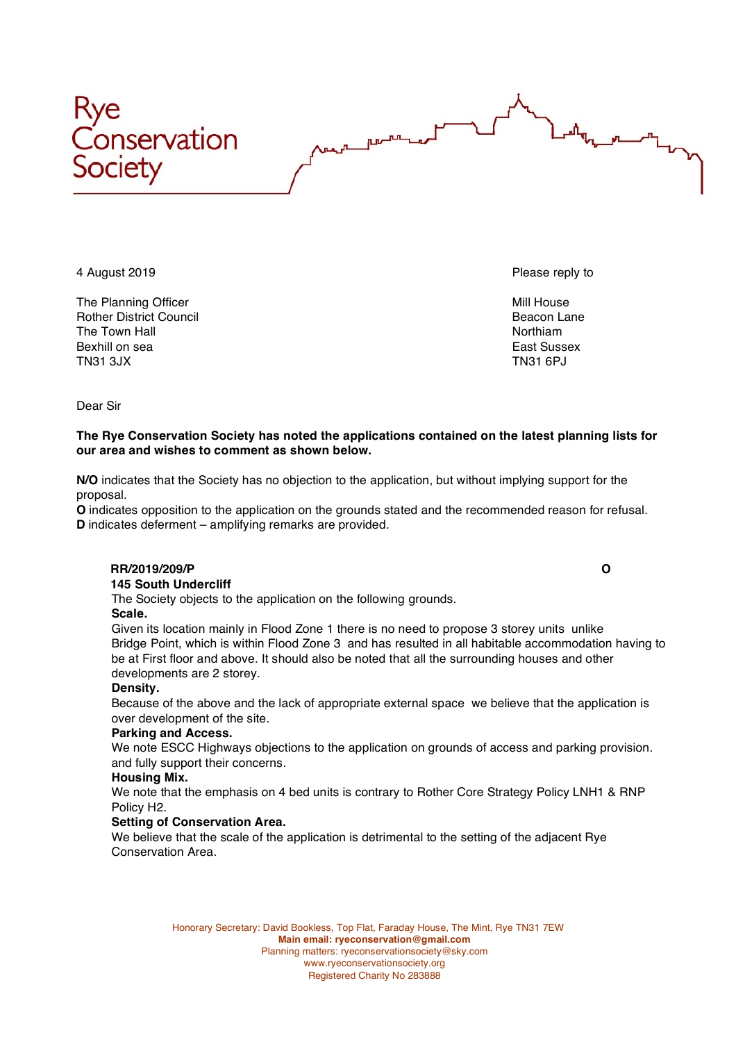

The Planning Officer Mill House and The Planning Officer Mill House and The Planning Officer Rother District Council and the control of the control of the Beacon Lane Reacon Lane Beacon Lane Season Lane S<br>The Town Hall The Town Hall Bexhill on sea **East Sussex** East Sussex TN31 3JX TN31 6PJ

4 August 2019 **Please reply to the ULL August 2019 Please reply to the Please reply to the Please reply to the Please reply to the Please reply to the Please reply to the Please reply to the Please reply to the Please re** 

Dear Sir

### **The Rye Conservation Society has noted the applications contained on the latest planning lists for our area and wishes to comment as shown below.**

**N/O** indicates that the Society has no objection to the application, but without implying support for the proposal.

**O** indicates opposition to the application on the grounds stated and the recommended reason for refusal. **D** indicates deferment – amplifying remarks are provided.

# **RR/2019/209/P O**

 **145 South Undercliff**

The Society objects to the application on the following grounds.

## **Scale.**

Given its location mainly in Flood Zone 1 there is no need to propose 3 storey units unlike Bridge Point, which is within Flood Zone 3 and has resulted in all habitable accommodation having to be at First floor and above. It should also be noted that all the surrounding houses and other developments are 2 storey.

#### **Density.**

Because of the above and the lack of appropriate external space we believe that the application is over development of the site.

## **Parking and Access.**

We note ESCC Highways objections to the application on grounds of access and parking provision. and fully support their concerns.

#### **Housing Mix.**

We note that the emphasis on 4 bed units is contrary to Rother Core Strategy Policy LNH1 & RNP Policy H2.

## **Setting of Conservation Area.**

We believe that the scale of the application is detrimental to the setting of the adjacent Rye Conservation Area.